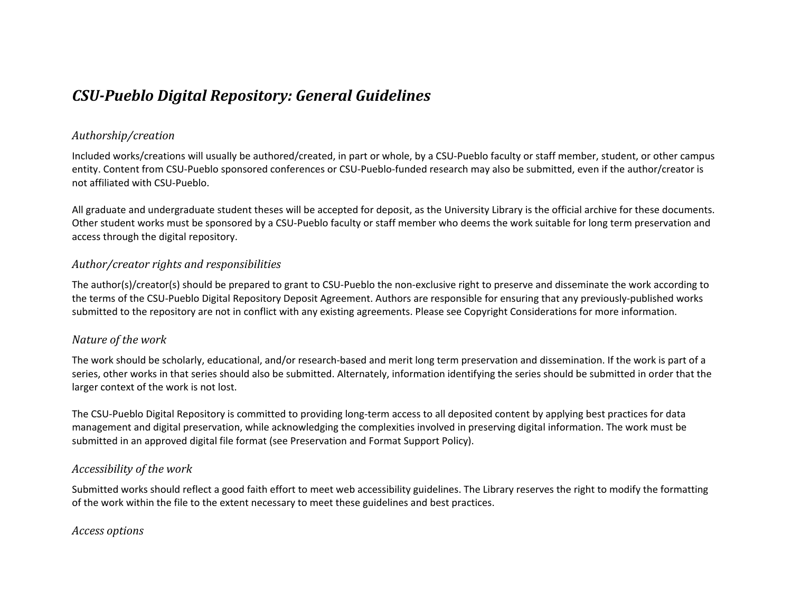## *CSU-Pueblo Digital Repository: General Guidelines*

#### *Authorship/creation*

Included works/creations will usually be authored/created, in part or whole, by a CSU-Pueblo faculty or staff member, student, or other campus entity. Content from CSU-Pueblo sponsored conferences or CSU-Pueblo-funded research may also be submitted, even if the author/creator is not affiliated with CSU-Pueblo.

All graduate and undergraduate student theses will be accepted for deposit, as the University Library is the official archive for these documents. Other student works must be sponsored by a CSU-Pueblo faculty or staff member who deems the work suitable for long term preservation and access through the digital repository.

#### *Author/creator rights and responsibilities*

The author(s)/creator(s) should be prepared to grant to CSU-Pueblo the non-exclusive right to preserve and disseminate the work according to the terms of the CSU-Pueblo Digital Repository Deposit Agreement. Authors are responsible for ensuring that any previously-published works submitted to the repository are not in conflict with any existing agreements. Please see Copyright Considerations for more information.

#### *Nature of the work*

The work should be scholarly, educational, and/or research-based and merit long term preservation and dissemination. If the work is part of a series, other works in that series should also be submitted. Alternately, information identifying the series should be submitted in order that the larger context of the work is not lost.

The CSU-Pueblo Digital Repository is committed to providing long-term access to all deposited content by applying best practices for data management and digital preservation, while acknowledging the complexities involved in preserving digital information. The work must be submitted in an approved digital file format (see Preservation and Format Support Policy).

#### *Accessibility of the work*

Submitted works should reflect a good faith effort to meet web accessibility guidelines. The Library reserves the right to modify the formatting of the work within the file to the extent necessary to meet these guidelines and best practices.

*Access options*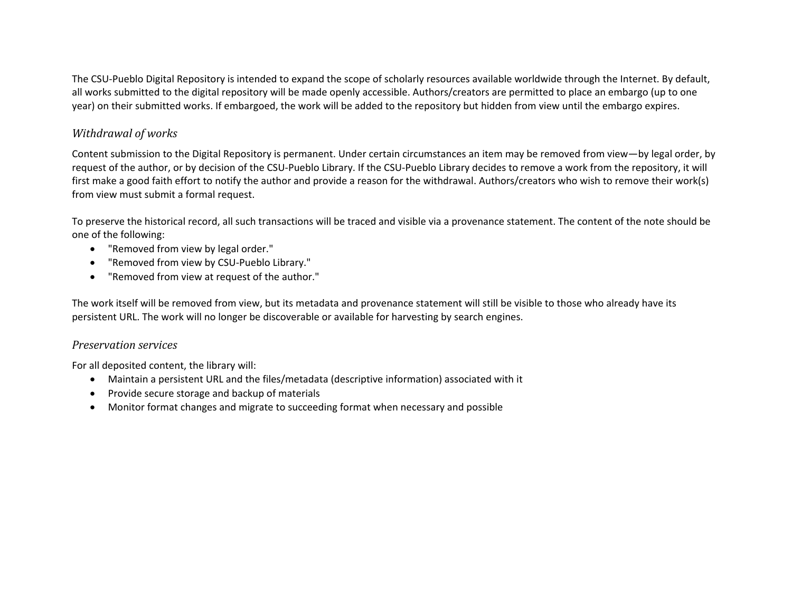The CSU-Pueblo Digital Repository is intended to expand the scope of scholarly resources available worldwide through the Internet. By default, all works submitted to the digital repository will be made openly accessible. Authors/creators are permitted to place an embargo (up to one year) on their submitted works. If embargoed, the work will be added to the repository but hidden from view until the embargo expires.

## *Withdrawal of works*

Content submission to the Digital Repository is permanent. Under certain circumstances an item may be removed from view—by legal order, by request of the author, or by decision of the CSU-Pueblo Library. If the CSU-Pueblo Library decides to remove a work from the repository, it will first make a good faith effort to notify the author and provide a reason for the withdrawal. Authors/creators who wish to remove their work(s) from view must submit a formal request.

To preserve the historical record, all such transactions will be traced and visible via a provenance statement. The content of the note should be one of the following:

- "Removed from view by legal order."
- "Removed from view by CSU-Pueblo Library."
- "Removed from view at request of the author."

The work itself will be removed from view, but its metadata and provenance statement will still be visible to those who already have its persistent URL. The work will no longer be discoverable or available for harvesting by search engines.

## *Preservation services*

For all deposited content, the library will:

- Maintain a persistent URL and the files/metadata (descriptive information) associated with it
- Provide secure storage and backup of materials
- Monitor format changes and migrate to succeeding format when necessary and possible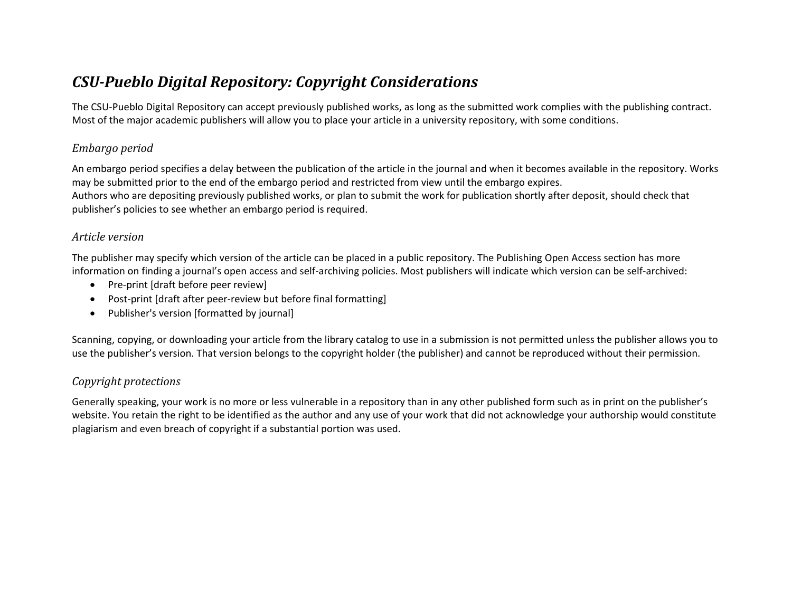# *CSU-Pueblo Digital Repository: Copyright Considerations*

The CSU-Pueblo Digital Repository can accept previously published works, as long as the submitted work complies with the publishing contract. Most of the major academic publishers will allow you to place your article in a university repository, with some conditions.

## *Embargo period*

An embargo period specifies a delay between the publication of the article in the journal and when it becomes available in the repository. Works may be submitted prior to the end of the embargo period and restricted from view until the embargo expires. Authors who are depositing previously published works, or plan to submit the work for publication shortly after deposit, should check that publisher's policies to see whether an embargo period is required.

#### *Article version*

The publisher may specify which version of the article can be placed in a public repository. The Publishing Open Access section has more information on finding a journal's open access and self-archiving policies. Most publishers will indicate which version can be self-archived:

- Pre-print [draft before peer review]
- Post-print [draft after peer-review but before final formatting]
- Publisher's version [formatted by journal]

Scanning, copying, or downloading your article from the library catalog to use in a submission is not permitted unless the publisher allows you to use the publisher's version. That version belongs to the copyright holder (the publisher) and cannot be reproduced without their permission.

## *Copyright protections*

Generally speaking, your work is no more or less vulnerable in a repository than in any other published form such as in print on the publisher's website. You retain the right to be identified as the author and any use of your work that did not acknowledge your authorship would constitute plagiarism and even breach of copyright if a substantial portion was used.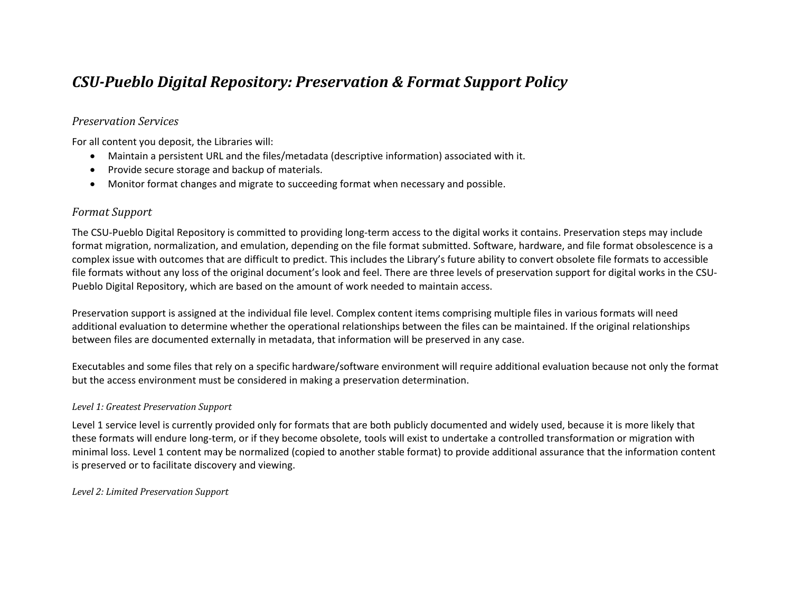## *CSU-Pueblo Digital Repository: Preservation & Format Support Policy*

#### *Preservation Services*

For all content you deposit, the Libraries will:

- Maintain a persistent URL and the files/metadata (descriptive information) associated with it.
- Provide secure storage and backup of materials.
- Monitor format changes and migrate to succeeding format when necessary and possible.

#### *Format Support*

The CSU-Pueblo Digital Repository is committed to providing long-term access to the digital works it contains. Preservation steps may include format migration, normalization, and emulation, depending on the file format submitted. Software, hardware, and file format obsolescence is a complex issue with outcomes that are difficult to predict. This includes the Library's future ability to convert obsolete file formats to accessible file formats without any loss of the original document's look and feel. There are three levels of preservation support for digital works in the CSU-Pueblo Digital Repository, which are based on the amount of work needed to maintain access.

Preservation support is assigned at the individual file level. Complex content items comprising multiple files in various formats will need additional evaluation to determine whether the operational relationships between the files can be maintained. If the original relationships between files are documented externally in metadata, that information will be preserved in any case.

Executables and some files that rely on a specific hardware/software environment will require additional evaluation because not only the format but the access environment must be considered in making a preservation determination.

#### *Level 1: Greatest Preservation Support*

Level 1 service level is currently provided only for formats that are both publicly documented and widely used, because it is more likely that these formats will endure long-term, or if they become obsolete, tools will exist to undertake a controlled transformation or migration with minimal loss. Level 1 content may be normalized (copied to another stable format) to provide additional assurance that the information content is preserved or to facilitate discovery and viewing.

*Level 2: Limited Preservation Support*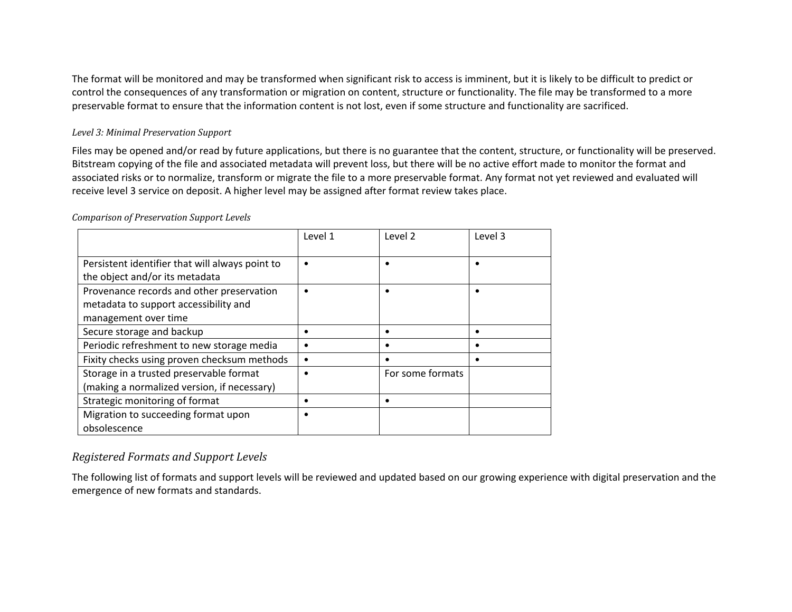The format will be monitored and may be transformed when significant risk to access is imminent, but it is likely to be difficult to predict or control the consequences of any transformation or migration on content, structure or functionality. The file may be transformed to a more preservable format to ensure that the information content is not lost, even if some structure and functionality are sacrificed.

#### *Level 3: Minimal Preservation Support*

Files may be opened and/or read by future applications, but there is no guarantee that the content, structure, or functionality will be preserved. Bitstream copying of the file and associated metadata will prevent loss, but there will be no active effort made to monitor the format and associated risks or to normalize, transform or migrate the file to a more preservable format. Any format not yet reviewed and evaluated will receive level 3 service on deposit. A higher level may be assigned after format review takes place.

|                                                 | Level 1   | Level 2          | Level 3 |
|-------------------------------------------------|-----------|------------------|---------|
| Persistent identifier that will always point to | $\bullet$ |                  |         |
| the object and/or its metadata                  |           |                  |         |
| Provenance records and other preservation       | $\bullet$ |                  |         |
| metadata to support accessibility and           |           |                  |         |
| management over time                            |           |                  |         |
| Secure storage and backup                       | ٠         |                  |         |
| Periodic refreshment to new storage media       | ٠         |                  |         |
| Fixity checks using proven checksum methods     |           |                  |         |
| Storage in a trusted preservable format         | ٠         | For some formats |         |
| (making a normalized version, if necessary)     |           |                  |         |
| Strategic monitoring of format                  | ٠         |                  |         |
| Migration to succeeding format upon             |           |                  |         |
| obsolescence                                    |           |                  |         |

*Comparison of Preservation Support Levels*

## *Registered Formats and Support Levels*

The following list of formats and support levels will be reviewed and updated based on our growing experience with digital preservation and the emergence of new formats and standards.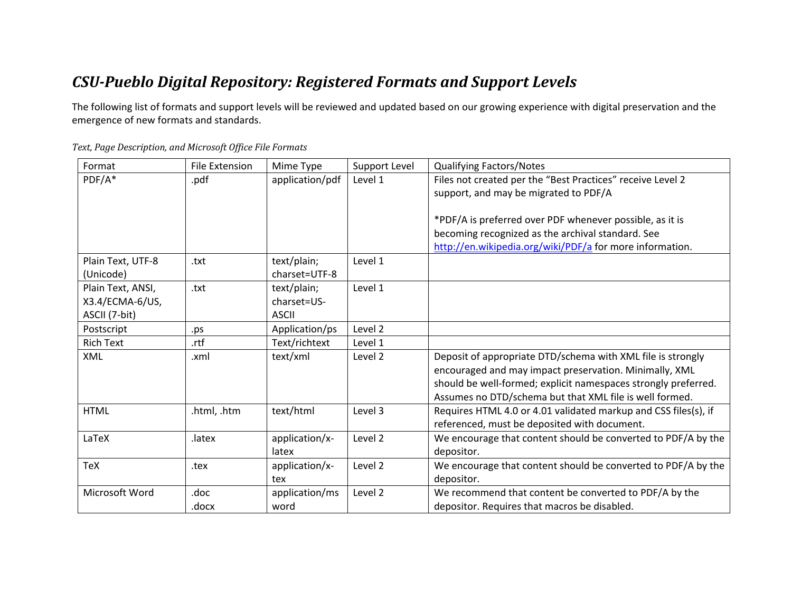# *CSU-Pueblo Digital Repository: Registered Formats and Support Levels*

The following list of formats and support levels will be reviewed and updated based on our growing experience with digital preservation and the emergence of new formats and standards.

| Format            | File Extension | Mime Type       | Support Level | <b>Qualifying Factors/Notes</b>                                 |
|-------------------|----------------|-----------------|---------------|-----------------------------------------------------------------|
| PDF/A*            | .pdf           | application/pdf | Level 1       | Files not created per the "Best Practices" receive Level 2      |
|                   |                |                 |               | support, and may be migrated to PDF/A                           |
|                   |                |                 |               |                                                                 |
|                   |                |                 |               | *PDF/A is preferred over PDF whenever possible, as it is        |
|                   |                |                 |               | becoming recognized as the archival standard. See               |
|                   |                |                 |               | http://en.wikipedia.org/wiki/PDF/a for more information.        |
| Plain Text, UTF-8 | .txt           | text/plain;     | Level 1       |                                                                 |
| (Unicode)         |                | charset=UTF-8   |               |                                                                 |
| Plain Text, ANSI, | .txt           | text/plain;     | Level 1       |                                                                 |
| X3.4/ECMA-6/US,   |                | charset=US-     |               |                                                                 |
| ASCII (7-bit)     |                | <b>ASCII</b>    |               |                                                                 |
| Postscript        | .ps            | Application/ps  | Level 2       |                                                                 |
| <b>Rich Text</b>  | .rtf           | Text/richtext   | Level 1       |                                                                 |
| XML               | .xml           | text/xml        | Level 2       | Deposit of appropriate DTD/schema with XML file is strongly     |
|                   |                |                 |               | encouraged and may impact preservation. Minimally, XML          |
|                   |                |                 |               | should be well-formed; explicit namespaces strongly preferred.  |
|                   |                |                 |               | Assumes no DTD/schema but that XML file is well formed.         |
| <b>HTML</b>       | .html, .htm    | text/html       | Level 3       | Requires HTML 4.0 or 4.01 validated markup and CSS files(s), if |
|                   |                |                 |               | referenced, must be deposited with document.                    |
| LaTeX             | .latex         | application/x-  | Level 2       | We encourage that content should be converted to PDF/A by the   |
|                   |                | latex           |               | depositor.                                                      |
| TeX               | .tex           | application/x-  | Level 2       | We encourage that content should be converted to PDF/A by the   |
|                   |                | tex             |               | depositor.                                                      |
| Microsoft Word    | .doc           | application/ms  | Level 2       | We recommend that content be converted to PDF/A by the          |
|                   | .docx          | word            |               | depositor. Requires that macros be disabled.                    |

*Text, Page Description, and Microsoft Office File Formats*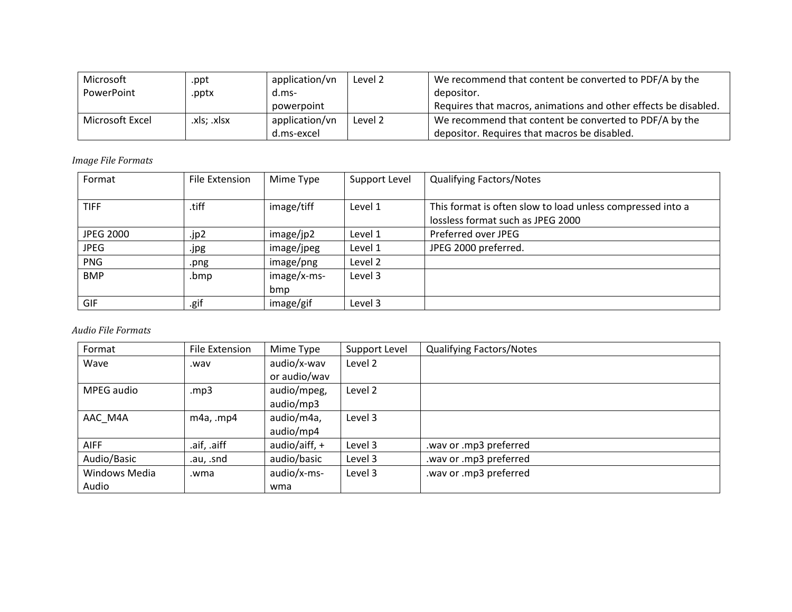| Microsoft       | .ppt        | application/vn | Level 2 | We recommend that content be converted to PDF/A by the          |
|-----------------|-------------|----------------|---------|-----------------------------------------------------------------|
| PowerPoint      | .pptx       | d.ms-          |         | depositor.                                                      |
|                 |             | powerpoint     |         | Requires that macros, animations and other effects be disabled. |
| Microsoft Excel | .xls; .xlsx | application/vn | Level 2 | We recommend that content be converted to PDF/A by the          |
|                 |             | d.ms-excel     |         | depositor. Requires that macros be disabled.                    |

*Image File Formats*

| Format           | File Extension | Mime Type   | Support Level | <b>Qualifying Factors/Notes</b>                                                                 |
|------------------|----------------|-------------|---------------|-------------------------------------------------------------------------------------------------|
| <b>TIFF</b>      | .tiff          | image/tiff  | Level 1       | This format is often slow to load unless compressed into a<br>lossless format such as JPEG 2000 |
| <b>JPEG 2000</b> | .jp2           | image/jp2   | Level 1       | Preferred over JPEG                                                                             |
| <b>JPEG</b>      | .jpg           | image/jpeg  | Level 1       | JPEG 2000 preferred.                                                                            |
| PNG              | .png           | image/png   | Level 2       |                                                                                                 |
| <b>BMP</b>       | .bmp           | image/x-ms- | Level 3       |                                                                                                 |
|                  |                | bmp         |               |                                                                                                 |
| <b>GIF</b>       | .gif           | image/gif   | Level 3       |                                                                                                 |

*Audio File Formats*

| Format        | File Extension | Mime Type       | Support Level | <b>Qualifying Factors/Notes</b> |
|---------------|----------------|-----------------|---------------|---------------------------------|
| Wave          | wav.           | audio/x-wav     | Level 2       |                                 |
|               |                | or audio/wav    |               |                                 |
| MPEG audio    | mp3            | audio/mpeg,     | Level 2       |                                 |
|               |                | audio/mp3       |               |                                 |
| AAC M4A       | $m4a$ , .mp4   | audio/m4a,      | Level 3       |                                 |
|               |                | audio/mp4       |               |                                 |
| <b>AIFF</b>   | .aif, .aiff    | audio/aiff, $+$ | Level 3       | .wav or .mp3 preferred          |
| Audio/Basic   | .au, .snd      | audio/basic     | Level 3       | .wav or .mp3 preferred          |
| Windows Media | .wma           | audio/x-ms-     | Level 3       | .wav or .mp3 preferred          |
| Audio         |                | wma             |               |                                 |